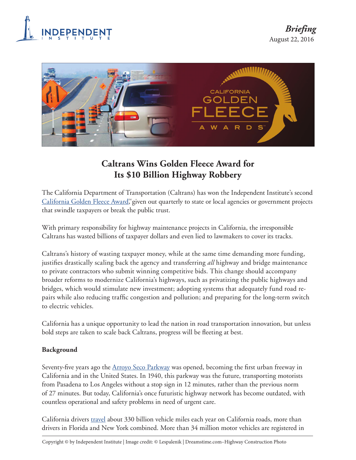



# **Caltrans Wins Golden Fleece Award for Its \$10 Billion Highway Robbery**

The California Department of Transportation (Caltrans) has won the Independent Institute's second [California Golden Fleece Award,](http://www.independent.org/aboutus/cagoldenfleece/) given out quarterly to state or local agencies or government projects that swindle taxpayers or break the public trust.

With primary responsibility for highway maintenance projects in California, the irresponsible Caltrans has wasted billions of taxpayer dollars and even lied to lawmakers to cover its tracks.

Caltrans's history of wasting taxpayer money, while at the same time demanding more funding, justifies drastically scaling back the agency and transferring *all* highway and bridge maintenance to private contractors who submit winning competitive bids. This change should accompany broader reforms to modernize California's highways, such as privatizing the public highways and bridges, which would stimulate new investment; adopting systems that adequately fund road repairs while also reducing traffic congestion and pollution; and preparing for the long-term switch to electric vehicles.

California has a unique opportunity to lead the nation in road transportation innovation, but unless bold steps are taken to scale back Caltrans, progress will be fleeting at best.

## **Background**

Seventy-five years ago the [Arroyo Seco Parkway](http://www.dailynews.com/arts-and-entertainment/20151204/arroyo-seco-parkway-californias-first-freeway-celebrates-75-years) was opened, becoming the first urban freeway in California and in the United States. In 1940, this parkway was the future, transporting motorists from Pasadena to Los Angeles without a stop sign in 12 minutes, rather than the previous norm of 27 minutes. But today, California's once futuristic highway network has become outdated, with countless operational and safety problems in need of urgent care.

California drivers [travel](http://www.transportationca.com/wp-content/uploads/2015/10/Governor-Browns-Transportation-Funding-Plan.pdf) about 330 billion vehicle miles each year on California roads, more than drivers in Florida and New York combined. More than 34 million motor vehicles are registered in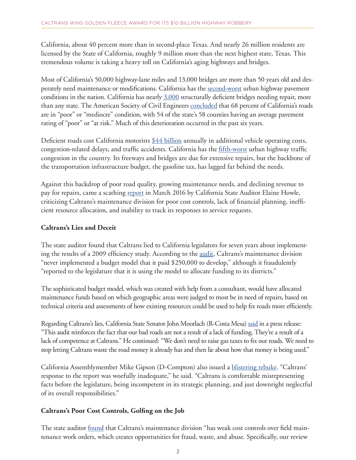California, about 40 percent more than in second-place Texas. And nearly 26 million residents are licensed by the State of California, roughly 9 million more than the next highest state, Texas. This tremendous volume is taking a heavy toll on California's aging highways and bridges.

Most of California's 50,000 highway-lane miles and 13,000 bridges are more than 50 years old and desperately need maintenance or modifications. California has the [second-worst](http://reason.org/files/21st_annual_highway_report.pdf) urban highway pavement conditions in the nation. California has nearly [3,000](http://stran.senate.ca.gov/sites/stran.senate.ca.gov/files/background_paper_-_july_2_hearing_letterhead.pdf) structurally deficient bridges needing repair, more than any state. The American Society of Civil Engineers [concluded](http://stran.senate.ca.gov/sites/stran.senate.ca.gov/files/background_paper_-_july_2_hearing_letterhead.pdf) that 68 percent of California's roads are in "poor" or "mediocre" condition, with 54 of the state's 58 counties having an average pavement rating of "poor" or "at risk." Much of this deterioration occurred in the past six years.

Deficient roads cost California motorists  $\frac{644}{100}$  billion annually in additional vehicle operating costs, congestion-related delays, and traffic accidents. California has the [fifth-worst](http://reason.org/files/21st_annual_highway_report.pdf) urban highway traffic congestion in the country. Its freeways and bridges are due for extensive repairs, but the backbone of the transportation infrastructure budget, the gasoline tax, has lagged far behind the needs.

Against this backdrop of poor road quality, growing maintenance needs, and declining revenue to pay for repairs, came a scathing [report](https://www.auditor.ca.gov/pdfs/reports/2015-120.pdf) in March 2016 by California State Auditor Elaine Howle, criticizing Caltrans's maintenance division for poor cost controls, lack of financial planning, inefficient resource allocation, and inability to track its responses to service requests.

#### **Caltrans's Lies and Deceit**

The state auditor found that Caltrans lied to California legislators for seven years about implementing the results of a 2009 efficiency study. According to the <u>audit</u>, Caltrans's maintenance division "never implemented a budget model that it paid \$250,000 to develop," although it fraudulently "reported to the legislature that it is using the model to allocate funding to its districts."

The sophisticated budget model, which was created with help from a consultant, would have allocated maintenance funds based on which geographic areas were judged to most be in need of repairs, based on technical criteria and assessments of how existing resources could be used to help fix roads more efficiently.

Regarding Caltrans's lies, California State Senator John Moorlach (R-Costa Mesa) [said](http://district37.cssrc.us/content/audits-findings-caltrans-big-lie-means-ca-must-reform-road-spending-considering-higher-taxes) in a press release: "This audit reinforces the fact that our bad roads are not a result of a lack of funding. They're a result of a lack of competence at Caltrans." He continued: "We don't need to raise gas taxes to fix our roads. We need to stop letting Caltrans waste the road money it already has and then lie about how that money is being used."

California Assemblymember Mike Gipson (D-Compton) also issued a [blistering rebuke.](https://lasentinel.net/gipson-responds-to-results-of-caltrans-audit.html) "Caltrans' response to the report was woefully inadequate," he said. "Caltrans is comfortable misrepresenting facts before the legislature, being incompetent in its strategic planning, and just downright neglectful of its overall responsibilities."

## **Caltrans's Poor Cost Controls, Golfing on the Job**

The state auditor [found](https://www.auditor.ca.gov/pdfs/reports/2015-120.pdf) that Caltrans's maintenance division "has weak cost controls over field maintenance work orders, which creates opportunities for fraud, waste, and abuse. Specifically, our review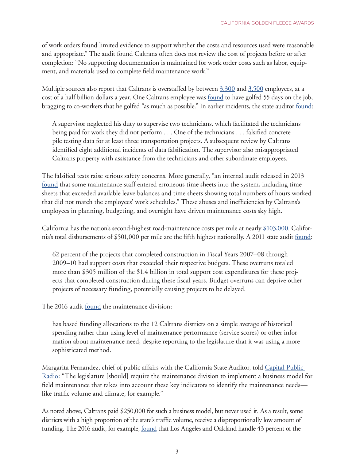of work orders found limited evidence to support whether the costs and resources used were reasonable and appropriate." The audit found Caltrans often does not review the cost of projects before or after completion: "No supporting documentation is maintained for work order costs such as labor, equipment, and materials used to complete field maintenance work."

Multiple sources also report that Caltrans is overstaffed by between [3,300](http://district37.cssrc.us/content/unprecedented-senate-hearing-exposes-caltrans-mismanagement-and-lack-budget-transparency) and [3,500 e](http://www.lao.ca.gov/reports/2014/budget/capital-outlay/capital-outlay-support-program-051414.pdf)mployees, at a cost of a half billion dollars a year. One Caltrans employee was <u>found</u> to have golfed 55 days on the job, bragging to co-workers that he golfed "as much as possible." In earlier incidents, the state auditor [found:](https://www.auditor.ca.gov/pdfs/reports/I2009-0640.pdf)

A supervisor neglected his duty to supervise two technicians, which facilitated the technicians being paid for work they did not perform . . . One of the technicians . . . falsified concrete pile testing data for at least three transportation projects. A subsequent review by Caltrans identified eight additional incidents of data falsification. The supervisor also misappropriated Caltrans property with assistance from the technicians and other subordinate employees.

The falsified tests raise serious safety concerns. More generally, "an internal audit released in 2013 [found](https://www.auditor.ca.gov/pdfs/reports/2015-120.pdf) that some maintenance staff entered erroneous time sheets into the system, including time sheets that exceeded available leave balances and time sheets showing total numbers of hours worked that did not match the employees' work schedules." These abuses and inefficiencies by Caltrans's employees in planning, budgeting, and oversight have driven maintenance costs sky high.

California has the nation's second-highest road-maintenance costs per mile at nearly [\\$103,000.](http://reason.org/files/21st_annual_highway_report.pdf) California's total disbursements of \$501,000 per mile are the fifth highest nationally. A 2011 state audit [found](https://www.bsa.ca.gov/pdfs/reports/2010-122.pdf):

62 percent of the projects that completed construction in Fiscal Years 2007–08 through 2009–10 had support costs that exceeded their respective budgets. These overruns totaled more than \$305 million of the \$1.4 billion in total support cost expenditures for these projects that completed construction during these fiscal years. Budget overruns can deprive other projects of necessary funding, potentially causing projects to be delayed.

The 2016 audit [found t](https://www.auditor.ca.gov/pdfs/reports/2015-120.pdf)he maintenance division:

has based funding allocations to the 12 Caltrans districts on a simple average of historical spending rather than using level of maintenance performance (service scores) or other information about maintenance need, despite reporting to the legislature that it was using a more sophisticated method.

Margarita Fernandez, chief of public affairs with the California State Auditor, told [Capital Public](https://lasentinel.net/gipson-responds-to-results-of-caltrans-audit.html)  [Radio](https://lasentinel.net/gipson-responds-to-results-of-caltrans-audit.html): "The legislature [should] require the maintenance division to implement a business model for field maintenance that takes into account these key indicators to identify the maintenance needs like traffic volume and climate, for example."

As noted above, Caltrans paid \$250,000 for such a business model, but never used it. As a result, some districts with a high proportion of the state's traffic volume, receive a disproportionally low amount of funding. The 2016 audit, for example, [found](https://www.auditor.ca.gov/pdfs/reports/2015-120.pdf) that Los Angeles and Oakland handle 43 percent of the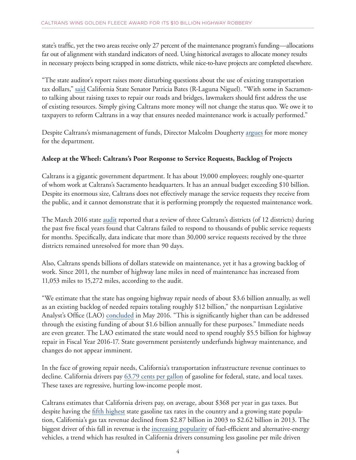state's traffic, yet the two areas receive only 27 percent of the maintenance program's funding—allocations far out of alignment with standard indicators of need. Using historical averages to allocate money results in necessary projects being scrapped in some districts, while nice-to-have projects are completed elsewhere.

"The state auditor's report raises more disturbing questions about the use of existing transportation tax dollars,[" said](http://bates.cssrc.us/content/senator-patricia-bates-responds-release-audit-caltrans-maintenance-program) California State Senator Patricia Bates (R-Laguna Niguel). "With some in Sacramento talking about raising taxes to repair our roads and bridges, lawmakers should first address the use of existing resources. Simply giving Caltrans more money will not change the status quo. We owe it to taxpayers to reform Caltrans in a way that ensures needed maintenance work is actually performed."

Despite Caltrans's mismanagement of funds, Director Malcolm Dougherty argues for more money for the department.

## **Asleep at the Wheel: Caltrans's Poor Response to Service Requests, Backlog of Projects**

Caltrans is a gigantic government department. It has about 19,000 employees; roughly one-quarter of whom work at Caltrans's Sacramento headquarters. It has an annual budget exceeding \$10 billion. Despite its enormous size, Caltrans does not effectively manage the service requests they receive from the public, and it cannot demonstrate that it is performing promptly the requested maintenance work.

The March 2016 state [audit](https://www.auditor.ca.gov/pdfs/reports/2015-120.pdf) reported that a review of three Caltrans's districts (of 12 districts) during the past five fiscal years found that Caltrans failed to respond to thousands of public service requests for months. Specifically, data indicate that more than 30,000 service requests received by the three districts remained unresolved for more than 90 days.

Also, Caltrans spends billions of dollars statewide on maintenance, yet it has a growing backlog of work. Since 2011, the number of highway lane miles in need of maintenance has increased from 11,053 miles to 15,272 miles, according to the audit.

"We estimate that the state has ongoing highway repair needs of about \$3.6 billion annually, as well as an existing backlog of needed repairs totaling roughly \$12 billion," the nonpartisan Legislative Analyst's Office (LAO) [concluded](http://www.lao.ca.gov/handouts/transportation/2016/Highway-Maintenance-Repair-Needs-050416.pdf) in May 2016. "This is significantly higher than can be addressed through the existing funding of about \$1.6 billion annually for these purposes." Immediate needs are even greater. The LAO estimated the state would need to spend roughly \$5.5 billion for highway repair in Fiscal Year 2016-17. State government persistently underfunds highway maintenance, and changes do not appear imminent.

In the face of growing repair needs, California's transportation infrastructure revenue continues to decline. California drivers pay [63.79 cents per gallon](http://www.kpbs.org/news/2015/feb/17/california-plans-move-away-gas-tax-road-usage-char/) of gasoline for federal, state, and local taxes. These taxes are regressive, hurting low-income people most.

Caltrans estimates that California drivers pay, on average, about \$368 per year in gas taxes. But despite having the [fifth highest](http://taxfoundation.org/article/facts-figures-2016-how-does-your-state-compare) state gasoline tax rates in the country and a growing state population, California's gas tax revenue declined from \$2.87 billion in 2003 to \$2.62 billion in 2013. The biggest driver of this fall in revenue is the [increasing popularity](http://www.cncda.org/CMS/Pubs/Cal_Covering_4Q_14.pdf) of fuel-efficient and alternative-energy vehicles, a trend which has resulted in California drivers consuming less gasoline per mile driven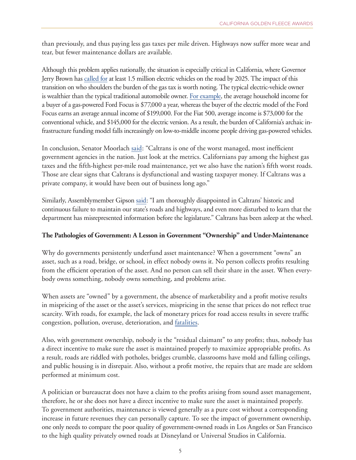than previously, and thus paying less gas taxes per mile driven. Highways now suffer more wear and tear, but fewer maintenance dollars are available.

Although this problem applies nationally, the situation is especially critical in California, where Governor Jerry Brown has [called for](https://www.opr.ca.gov/docs/Governor) at least 1.5 million electric vehicles on the road by 2025. The impact of this transition on who shoulders the burden of the gas tax is worth noting. The typical electric-vehicle owner is wealthier than the typical traditional automobile owner. [For example,](http://insideevs.com/electric-cars-buyers-young-rich/) the average household income for a buyer of a gas-powered Ford Focus is \$77,000 a year, whereas the buyer of the electric model of the Ford Focus earns an average annual income of \$199,000. For the Fiat 500, average income is \$73,000 for the conventional vehicle, and \$145,000 for the electric version. As a result, the burden of California's archaic infrastructure funding model falls increasingly on low-to-middle income people driving gas-powered vehicles.

In conclusion, Senator Moorlac[h said](http://goldrushcam.com/sierrasuntimes/index.php/news/local-news/6374-california-state-senator-moorlach-introduces-bill-to-shift-road-funding-duties-from-caltrans-to-counties): "Caltrans is one of the worst managed, most inefficient government agencies in the nation. Just look at the metrics. Californians pay among the highest gas taxes and the fifth-highest per-mile road maintenance, yet we also have the nation's fifth worst roads. Those are clear signs that Caltrans is dysfunctional and wasting taxpayer money. If Caltrans was a private company, it would have been out of business long ago."

Similarly, Assemblymember Gipson [said:](https://lasentinel.net/gipson-responds-to-results-of-caltrans-audit.html) "I am thoroughly disappointed in Caltrans' historic and continuous failure to maintain our state's roads and highways, and even more disturbed to learn that the department has misrepresented information before the legislature." Caltrans has been asleep at the wheel.

#### **The Pathologies of Government: A Lesson in Government "Ownership" and Under-Maintenance**

Why do governments persistently underfund asset maintenance? When a government "owns" an asset, such as a road, bridge, or school, in effect nobody owns it. No person collects profits resulting from the efficient operation of the asset. And no person can sell their share in the asset. When everybody owns something, nobody owns something, and problems arise.

When assets are "owned" by a government, the absence of marketability and a profit motive results in mispricing of the asset or the asset's services, mispricing in the sense that prices do not reflect true scarcity. With roads, for example, the lack of monetary prices for road access results in severe traffic congestion, pollution, overuse, deterioration, and [fatalities.](https://mises.org/library/future-private-roads-and-highways)

Also, with government ownership, nobody is the "residual claimant" to any profits; thus, nobody has a direct incentive to make sure the asset is maintained properly to maximize appropriable profits. As a result, roads are riddled with potholes, bridges crumble, classrooms have mold and falling ceilings, and public housing is in disrepair. Also, without a profit motive, the repairs that are made are seldom performed at minimum cost.

A politician or bureaucrat does not have a claim to the profits arising from sound asset management, therefore, he or she does not have a direct incentive to make sure the asset is maintained properly. To government authorities, maintenance is viewed generally as a pure cost without a corresponding increase in future revenues they can personally capture. To see the impact of government ownership, one only needs to compare the poor quality of government-owned roads in Los Angeles or San Francisco to the high quality privately owned roads at Disneyland or Universal Studios in California.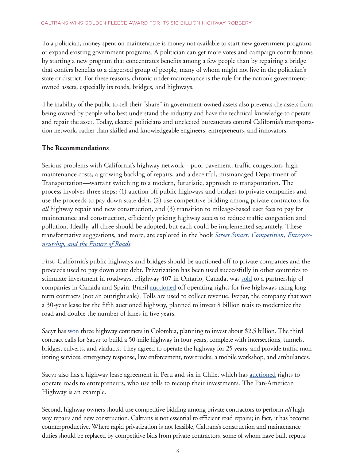To a politician, money spent on maintenance is money not available to start new government programs or expand existing government programs. A politician can get more votes and campaign contributions by starting a new program that concentrates benefits among a few people than by repairing a bridge that confers benefits to a dispersed group of people, many of whom might not live in the politician's state or district. For these reasons, chronic under-maintenance is the rule for the nation's governmentowned assets, especially its roads, bridges, and highways.

The inability of the public to sell their "share" in government-owned assets also prevents the assets from being owned by people who best understand the industry and have the technical knowledge to operate and repair the asset. Today, elected politicians and unelected bureaucrats control California's transportation network, rather than skilled and knowledgeable engineers, entrepreneurs, and innovators.

## **The Recommendations**

Serious problems with California's highway network—poor pavement, traffic congestion, high maintenance costs, a growing backlog of repairs, and a deceitful, mismanaged Department of Transportation—warrant switching to a modern, futuristic, approach to transportation. The process involves three steps: (1) auction off public highways and bridges to private companies and use the proceeds to pay down state debt, (2) use competitive bidding among private contractors for *all* highway repair and new construction, and (3) transition to mileage-based user fees to pay for maintenance and construction, efficiently pricing highway access to reduce traffic congestion and pollution. Ideally, all three should be adopted, but each could be implemented separately. These transformative suggestions, and more, are explored in the book *[Street Smart: Competition, Entrepre](http://www.independent.org/store/book.asp?id=64#t-3)[neurship, and the Future of Roads](http://www.independent.org/store/book.asp?id=64#t-3)*.

First, California's public highways and bridges should be auctioned off to private companies and the proceeds used to pay down state debt. Privatization has been used successfully in other countries to stimulate investment in roadways. Highway 407 in Ontario, Canada, was [sold](http://www.cbc.ca/news/canada/highway-407-sold-1.191438) to a partnership of companies in Canada and Spain. Brazil [auctioned](http://www.wsj.com/articles/SB10001424052702303345104579284422198839560) off operating rights for five highways using longterm contracts (not an outright sale). Tolls are used to collect revenue. Ivepar, the company that won a 30-year lease for the fifth auctioned highway, planned to invest 8 billion reais to modernize the road and double the number of lanes in five years.

Sacyr has [won](http://www.sacyr.com/es_en/Channel/News-Channel/news/featuresnews/2015/Adjudicacion/27072015_Adjudicacion_Autopista_Rumichaca_Colombia.aspx) three highway contracts in Colombia, planning to invest about \$2.5 billion. The third contract calls for Sacyr to build a 50-mile highway in four years, complete with intersections, tunnels, bridges, culverts, and viaducts. They agreed to operate the highway for 25 years, and provide traffic monitoring services, emergency response, law enforcement, tow trucks, a mobile workshop, and ambulances.

Sacyr also has a highway lease agreement in Peru and six in Chile, which has [auctioned](http://scid.stanford.edu/sites/default/files/publications/40wp.pdf) rights to operate roads to entrepreneurs, who use tolls to recoup their investments. The Pan-American Highway is an example.

Second, highway owners should use competitive bidding among private contractors to perform *all* highway repairs and new construction. Caltrans is not essential to efficient road repairs; in fact, it has become counterproductive. Where rapid privatization is not feasible, Caltrans's construction and maintenance duties should be replaced by competitive bids from private contractors, some of whom have built reputa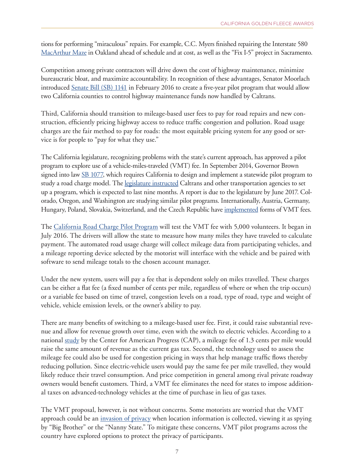tions for performing "miraculous" repairs. For example, C.C. Myers finished repairing the Interstate 580 [MacArthur Maze i](http://www.sfgate.com/bayarea/article/A-MAZE-ING-His-reputation-on-the-line-2592154.php)n Oakland ahead of schedule and at cost, as well as the "Fix I-5" project in Sacramento.

Competition among private contractors will drive down the cost of highway maintenance, minimize bureaucratic bloat, and maximize accountability. In recognition of these advantages, Senator Moorlach introduced [Senate Bill \(SB\) 1141](http://leginfo.legislature.ca.gov/faces/billNavClient.xhtml?bill_id=201520160SB1141) in February 2016 to create a five-year pilot program that would allow two California counties to control highway maintenance funds now handled by Caltrans.

Third, California should transition to mileage-based user fees to pay for road repairs and new construction, efficiently pricing highway access to reduce traffic congestion and pollution. Road usage charges are the fair method to pay for roads: the most equitable pricing system for any good or service is for people to "pay for what they use."

The California legislature, recognizing problems with the state's current approach, has approved a pilot program to explore use of a vehicle-miles-traveled (VMT) fee. In September 2014, Governor Brown signed into law <u>SB 1077</u>, which requires California to design and implement a statewide pilot program to study a road charge model. The [legislature instructed](http://www.sacbee.com/news/local/transportation/back-seat-driver/article65862542.html) Caltrans and other transportation agencies to set up a program, which is expected to last nine months. A report is due to the legislature by June 2017. Colorado, Oregon, and Washington are studying similar pilot programs. Internationally, Austria, Germany, Hungary, Poland, Slovakia, Switzerland, and the Czech Republic have *implemented* forms of VMT fees.

The [California Road Charge Pilot Program](http://www.dot.ca.gov/road_charge/) will test the VMT fee with 5,000 volunteers. It began in July 2016. The drivers will allow the state to measure how many miles they have traveled to calculate payment. The automated road usage charge will collect mileage data from participating vehicles, and a mileage reporting device selected by the motorist will interface with the vehicle and be paired with software to send mileage totals to the chosen account manager.

Under the new system, users will pay a fee that is dependent solely on miles travelled. These charges can be either a flat fee (a fixed number of cents per mile, regardless of where or when the trip occurs) or a variable fee based on time of travel, congestion levels on a road, type of road, type and weight of vehicle, vehicle emission levels, or the owner's ability to pay.

There are many benefits of switching to a mileage-based user fee. First, it could raise substantial revenue and allow for revenue growth over time, even with the switch to electric vehicles. According to a nationa[l study](https://www.americanprogress.org/issues/tax-reform/report/2014/07/11/93657/switching-from-a-gas-tax-to-a-mileage-based-user-fee/) by the Center for American Progress (CAP), a mileage fee of 1.3 cents per mile would raise the same amount of revenue as the current gas tax. Second, the technology used to assess the mileage fee could also be used for congestion pricing in ways that help manage traffic flows thereby reducing pollution. Since electric-vehicle users would pay the same fee per mile travelled, they would likely reduce their travel consumption. And price competition in general among rival private roadway owners would benefit customers. Third, a VMT fee eliminates the need for states to impose additional taxes on advanced-technology vehicles at the time of purchase in lieu of gas taxes.

The VMT proposal, however, is not without concerns. Some motorists are worried that the VMT approach could be an <u>invasion of privacy</u> when location information is collected, viewing it as spying by "Big Brother" or the "Nanny State." To mitigate these concerns, VMT pilot programs across the country have explored options to protect the privacy of participants.